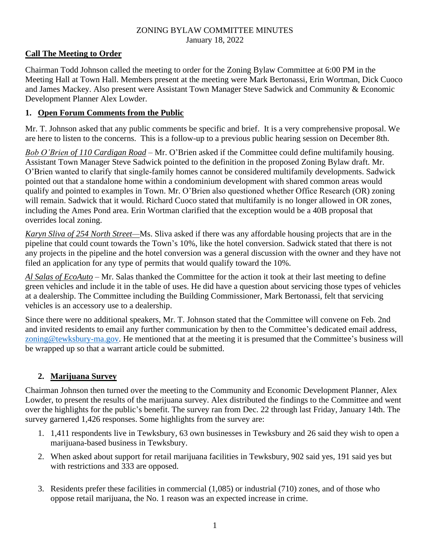#### ZONING BYLAW COMMITTEE MINUTES January 18, 2022

# **Call The Meeting to Order**

Chairman Todd Johnson called the meeting to order for the Zoning Bylaw Committee at 6:00 PM in the Meeting Hall at Town Hall. Members present at the meeting were Mark Bertonassi, Erin Wortman, Dick Cuoco and James Mackey. Also present were Assistant Town Manager Steve Sadwick and Community & Economic Development Planner Alex Lowder.

#### **1. Open Forum Comments from the Public**

Mr. T. Johnson asked that any public comments be specific and brief. It is a very comprehensive proposal. We are here to listen to the concerns. This is a follow-up to a previous public hearing session on December 8th.

*Bob O'Brien of 110 Cardigan Road* – Mr. O'Brien asked if the Committee could define multifamily housing. Assistant Town Manager Steve Sadwick pointed to the definition in the proposed Zoning Bylaw draft. Mr. O'Brien wanted to clarify that single-family homes cannot be considered multifamily developments. Sadwick pointed out that a standalone home within a condominium development with shared common areas would qualify and pointed to examples in Town. Mr. O'Brien also questioned whether Office Research (OR) zoning will remain. Sadwick that it would. Richard Cuoco stated that multifamily is no longer allowed in OR zones, including the Ames Pond area. Erin Wortman clarified that the exception would be a 40B proposal that overrides local zoning.

*Karyn Sliva of 254 North Street—*Ms. Sliva asked if there was any affordable housing projects that are in the pipeline that could count towards the Town's 10%, like the hotel conversion. Sadwick stated that there is not any projects in the pipeline and the hotel conversion was a general discussion with the owner and they have not filed an application for any type of permits that would qualify toward the 10%.

*Al Salas of EcoAuto* – Mr. Salas thanked the Committee for the action it took at their last meeting to define green vehicles and include it in the table of uses. He did have a question about servicing those types of vehicles at a dealership. The Committee including the Building Commissioner, Mark Bertonassi, felt that servicing vehicles is an accessory use to a dealership.

Since there were no additional speakers, Mr. T. Johnson stated that the Committee will convene on Feb. 2nd and invited residents to email any further communication by then to the Committee's dedicated email address, [zoning@tewksbury-ma.gov.](mailto:zoning@tewksbury-ma.gov) He mentioned that at the meeting it is presumed that the Committee's business will be wrapped up so that a warrant article could be submitted.

# **2. Marijuana Survey**

Chairman Johnson then turned over the meeting to the Community and Economic Development Planner, Alex Lowder, to present the results of the marijuana survey. Alex distributed the findings to the Committee and went over the highlights for the public's benefit. The survey ran from Dec. 22 through last Friday, January 14th. The survey garnered 1,426 responses. Some highlights from the survey are:

- 1. 1,411 respondents live in Tewksbury, 63 own businesses in Tewksbury and 26 said they wish to open a marijuana-based business in Tewksbury.
- 2. When asked about support for retail marijuana facilities in Tewksbury, 902 said yes, 191 said yes but with restrictions and 333 are opposed.
- 3. Residents prefer these facilities in commercial (1,085) or industrial (710) zones, and of those who oppose retail marijuana, the No. 1 reason was an expected increase in crime.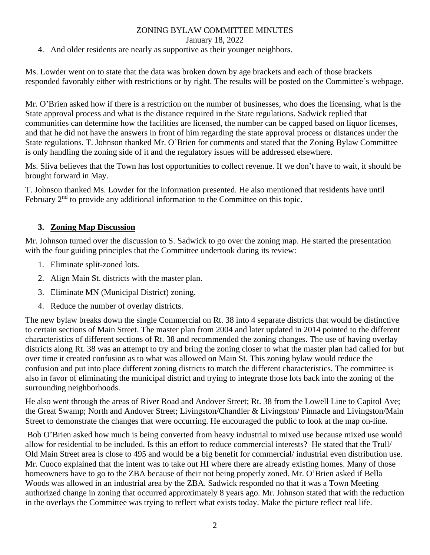## ZONING BYLAW COMMITTEE MINUTES

January 18, 2022

4. And older residents are nearly as supportive as their younger neighbors.

Ms. Lowder went on to state that the data was broken down by age brackets and each of those brackets responded favorably either with restrictions or by right. The results will be posted on the Committee's webpage.

Mr. O'Brien asked how if there is a restriction on the number of businesses, who does the licensing, what is the State approval process and what is the distance required in the State regulations. Sadwick replied that communities can determine how the facilities are licensed, the number can be capped based on liquor licenses, and that he did not have the answers in front of him regarding the state approval process or distances under the State regulations. T. Johnson thanked Mr. O'Brien for comments and stated that the Zoning Bylaw Committee is only handling the zoning side of it and the regulatory issues will be addressed elsewhere.

Ms. Sliva believes that the Town has lost opportunities to collect revenue. If we don't have to wait, it should be brought forward in May.

T. Johnson thanked Ms. Lowder for the information presented. He also mentioned that residents have until February  $2<sup>nd</sup>$  to provide any additional information to the Committee on this topic.

## **3. Zoning Map Discussion**

Mr. Johnson turned over the discussion to S. Sadwick to go over the zoning map. He started the presentation with the four guiding principles that the Committee undertook during its review:

- 1. Eliminate split-zoned lots.
- 2. Align Main St. districts with the master plan.
- 3. Eliminate MN (Municipal District) zoning.
- 4. Reduce the number of overlay districts.

The new bylaw breaks down the single Commercial on Rt. 38 into 4 separate districts that would be distinctive to certain sections of Main Street. The master plan from 2004 and later updated in 2014 pointed to the different characteristics of different sections of Rt. 38 and recommended the zoning changes. The use of having overlay districts along Rt. 38 was an attempt to try and bring the zoning closer to what the master plan had called for but over time it created confusion as to what was allowed on Main St. This zoning bylaw would reduce the confusion and put into place different zoning districts to match the different characteristics. The committee is also in favor of eliminating the municipal district and trying to integrate those lots back into the zoning of the surrounding neighborhoods.

He also went through the areas of River Road and Andover Street; Rt. 38 from the Lowell Line to Capitol Ave; the Great Swamp; North and Andover Street; Livingston/Chandler & Livingston/ Pinnacle and Livingston/Main Street to demonstrate the changes that were occurring. He encouraged the public to look at the map on-line.

Bob O'Brien asked how much is being converted from heavy industrial to mixed use because mixed use would allow for residential to be included. Is this an effort to reduce commercial interests? He stated that the Trull/ Old Main Street area is close to 495 and would be a big benefit for commercial/ industrial even distribution use. Mr. Cuoco explained that the intent was to take out HI where there are already existing homes. Many of those homeowners have to go to the ZBA because of their not being properly zoned. Mr. O'Brien asked if Bella Woods was allowed in an industrial area by the ZBA. Sadwick responded no that it was a Town Meeting authorized change in zoning that occurred approximately 8 years ago. Mr. Johnson stated that with the reduction in the overlays the Committee was trying to reflect what exists today. Make the picture reflect real life.